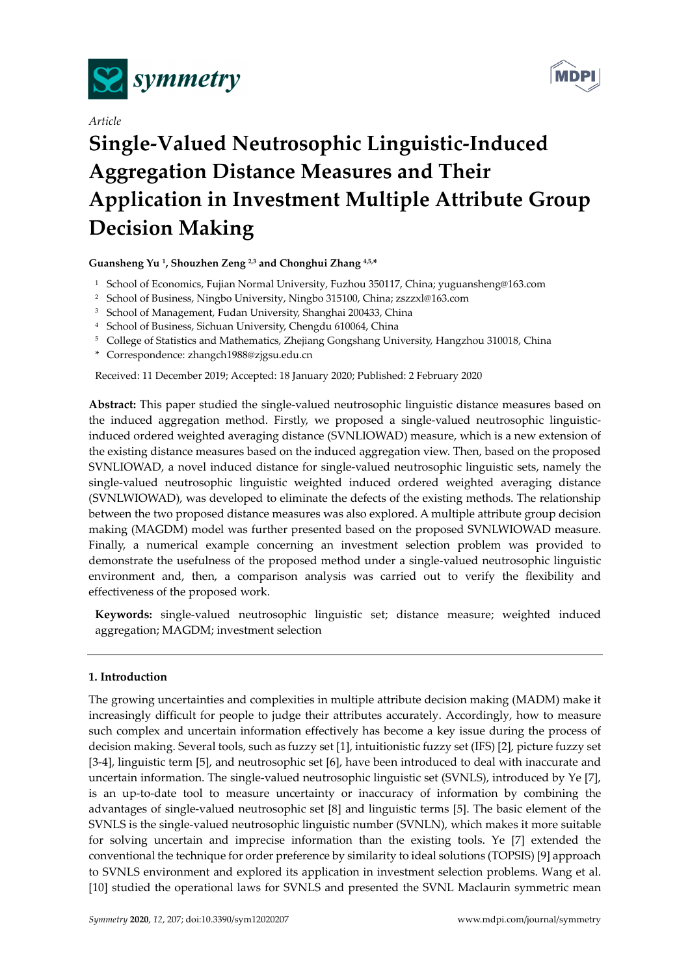

*Article* 



# **Single-Valued Neutrosophic Linguistic-Induced Aggregation Distance Measures and Their Application in Investment Multiple Attribute Group Decision Making**

**Guansheng Yu 1, Shouzhen Zeng 2,3 and Chonghui Zhang 4,5,\*** 

- <sup>1</sup> School of Economics, Fujian Normal University, Fuzhou 350117, China; yuguansheng@163.com
- 2 School of Business, Ningbo University, Ningbo 315100, China; zszzxl@163.com
- 3 School of Management, Fudan University, Shanghai 200433, China
- 4 School of Business, Sichuan University, Chengdu 610064, China
- 5 College of Statistics and Mathematics, Zhejiang Gongshang University, Hangzhou 310018, China
- \* Correspondence: zhangch1988@zjgsu.edu.cn

Received: 11 December 2019; Accepted: 18 January 2020; Published: 2 February 2020

**Abstract:** This paper studied the single-valued neutrosophic linguistic distance measures based on the induced aggregation method. Firstly, we proposed a single-valued neutrosophic linguisticinduced ordered weighted averaging distance (SVNLIOWAD) measure, which is a new extension of the existing distance measures based on the induced aggregation view. Then, based on the proposed SVNLIOWAD, a novel induced distance for single-valued neutrosophic linguistic sets, namely the single-valued neutrosophic linguistic weighted induced ordered weighted averaging distance (SVNLWIOWAD), was developed to eliminate the defects of the existing methods. The relationship between the two proposed distance measures was also explored. A multiple attribute group decision making (MAGDM) model was further presented based on the proposed SVNLWIOWAD measure. Finally, a numerical example concerning an investment selection problem was provided to demonstrate the usefulness of the proposed method under a single-valued neutrosophic linguistic environment and, then, a comparison analysis was carried out to verify the flexibility and effectiveness of the proposed work.

**Keywords:** single-valued neutrosophic linguistic set; distance measure; weighted induced aggregation; MAGDM; investment selection

# **1. Introduction**

The growing uncertainties and complexities in multiple attribute decision making (MADM) make it increasingly difficult for people to judge their attributes accurately. Accordingly, how to measure such complex and uncertain information effectively has become a key issue during the process of decision making. Several tools, such as fuzzy set [1], intuitionistic fuzzy set (IFS) [2], picture fuzzy set [3-4], linguistic term [5], and neutrosophic set [6], have been introduced to deal with inaccurate and uncertain information. The single-valued neutrosophic linguistic set (SVNLS), introduced by Ye [7], is an up-to-date tool to measure uncertainty or inaccuracy of information by combining the advantages of single-valued neutrosophic set [8] and linguistic terms [5]. The basic element of the SVNLS is the single-valued neutrosophic linguistic number (SVNLN), which makes it more suitable for solving uncertain and imprecise information than the existing tools. Ye [7] extended the conventional the technique for order preference by similarity to ideal solutions (TOPSIS) [9] approach to SVNLS environment and explored its application in investment selection problems. Wang et al. [10] studied the operational laws for SVNLS and presented the SVNL Maclaurin symmetric mean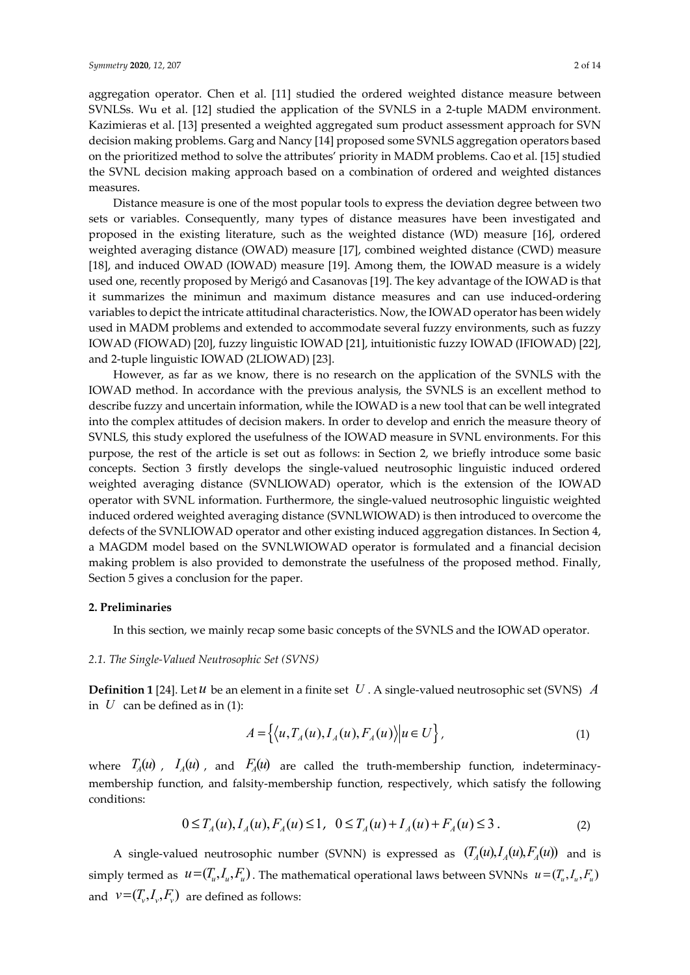aggregation operator. Chen et al. [11] studied the ordered weighted distance measure between SVNLSs. Wu et al. [12] studied the application of the SVNLS in a 2-tuple MADM environment. Kazimieras et al. [13] presented a weighted aggregated sum product assessment approach for SVN decision making problems. Garg and Nancy [14] proposed some SVNLS aggregation operators based on the prioritized method to solve the attributes' priority in MADM problems. Cao et al. [15] studied the SVNL decision making approach based on a combination of ordered and weighted distances measures.

Distance measure is one of the most popular tools to express the deviation degree between two sets or variables. Consequently, many types of distance measures have been investigated and proposed in the existing literature, such as the weighted distance (WD) measure [16], ordered weighted averaging distance (OWAD) measure [17], combined weighted distance (CWD) measure [18], and induced OWAD (IOWAD) measure [19]. Among them, the IOWAD measure is a widely used one, recently proposed by Merigó and Casanovas [19]. The key advantage of the IOWAD is that it summarizes the minimun and maximum distance measures and can use induced-ordering variables to depict the intricate attitudinal characteristics. Now, the IOWAD operator has been widely used in MADM problems and extended to accommodate several fuzzy environments, such as fuzzy IOWAD (FIOWAD) [20], fuzzy linguistic IOWAD [21], intuitionistic fuzzy IOWAD (IFIOWAD) [22], and 2-tuple linguistic IOWAD (2LIOWAD) [23].

However, as far as we know, there is no research on the application of the SVNLS with the IOWAD method. In accordance with the previous analysis, the SVNLS is an excellent method to describe fuzzy and uncertain information, while the IOWAD is a new tool that can be well integrated into the complex attitudes of decision makers. In order to develop and enrich the measure theory of SVNLS, this study explored the usefulness of the IOWAD measure in SVNL environments. For this purpose, the rest of the article is set out as follows: in Section 2, we briefly introduce some basic concepts. Section 3 firstly develops the single-valued neutrosophic linguistic induced ordered weighted averaging distance (SVNLIOWAD) operator, which is the extension of the IOWAD operator with SVNL information. Furthermore, the single-valued neutrosophic linguistic weighted induced ordered weighted averaging distance (SVNLWIOWAD) is then introduced to overcome the defects of the SVNLIOWAD operator and other existing induced aggregation distances. In Section 4, a MAGDM model based on the SVNLWIOWAD operator is formulated and a financial decision making problem is also provided to demonstrate the usefulness of the proposed method. Finally, Section 5 gives a conclusion for the paper.

## **2. Preliminaries**

In this section, we mainly recap some basic concepts of the SVNLS and the IOWAD operator.

### *2.1. The Single-Valued Neutrosophic Set (SVNS)*

**Definition 1** [24]. Let *u* be an element in a finite set *U* . A single-valued neutrosophic set (SVNS) *A* in  $U$  can be defined as in (1):

$$
A = \left\{ \left\langle u, T_A(u), I_A(u), F_A(u) \right\rangle | u \in U \right\},\tag{1}
$$

where  $T_A(u)$ ,  $I_A(u)$ , and  $F_A(u)$  are called the truth-membership function, indeterminacymembership function, and falsity-membership function, respectively, which satisfy the following conditions:

$$
0 \le T_A(u), I_A(u), F_A(u) \le 1, \quad 0 \le T_A(u) + I_A(u) + F_A(u) \le 3. \tag{2}
$$

A single-valued neutrosophic number (SVNN) is expressed as  $(T_A(u), T_A(u), F_A(u))$  and is simply termed as  $u = (T_u, I_u, F_u)$ . The mathematical operational laws between SVNNs  $u = (T_u, I_u, F_u)$ and  $v=(T_v, I_v, F_v)$  are defined as follows: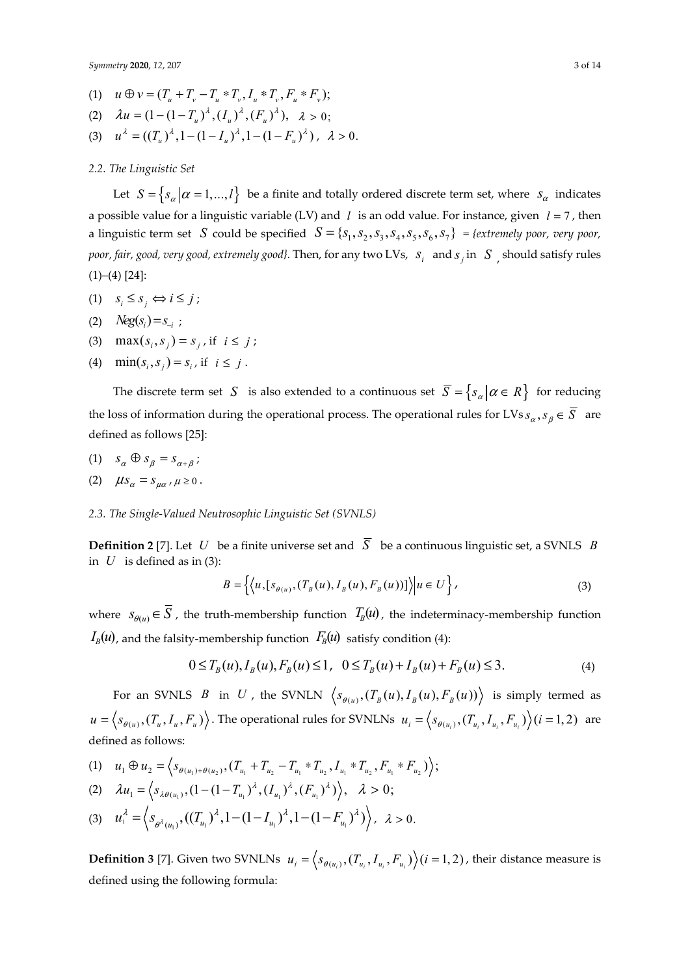- (1)  $u \oplus v = (T_u + T_v T_v * T_v, I_v * T_v, F_v * F_v);$
- (2)  $\lambda u = (1 (1 T_{\alpha})^{\lambda}, (I_{\alpha})^{\lambda}, (F_{\alpha})^{\lambda}), \lambda > 0$ ;
- (3)  $u^{\lambda} = ((T_{u})^{\lambda}, 1 (1 I_{u})^{\lambda}, 1 (1 F_{u})^{\lambda})$ ,  $\lambda > 0$ .

## *2.2. The Linguistic Set*

Let  $S = \{s_\alpha | \alpha = 1, ..., l\}$  be a finite and totally ordered discrete term set, where  $s_\alpha$  indicates a possible value for a linguistic variable (LV) and *l* is an odd value. For instance, given *l* = 7 , then a linguistic term set *S* could be specified  $S = \{S_1, S_2, S_3, S_4, S_5, S_6, S_7\}$  = {extremely poor, very poor, *poor, fair, good, very good, extremely good}.* Then, for any two LVs,  $\,s_i^{} \,$  and  $s_j$  in  $\,$   $S$   $\,$   $\,$  should satisfy rules  $(1)$ – $(4)$  [24]:

- (1)  $s_i \leq s_j \Leftrightarrow i \leq j$ ;
- (2)  $Neg(s_i) = s_i$ ;
- (3)  $\max(s_i, s_j) = s_j$ , if  $i \leq j$ ;
- (4)  $\min(s_i, s_j) = s_i$ , if  $i \leq j$ .

The discrete term set *S* is also extended to a continuous set  $\overline{S} = \{s_{\alpha} | \alpha \in R\}$  for reducing the loss of information during the operational process. The operational rules for LVs  $s_\alpha$ ,  $s_\beta \in \overline{S}$  are defined as follows [25]:

- (1)  $s_{\alpha} \oplus s_{\beta} = s_{\alpha + \beta}$ ;
- (2)  $\mu s_{\alpha} = s_{\mu \alpha}, \mu \ge 0$ .
- *2.3. The Single-Valued Neutrosophic Linguistic Set (SVNLS)*

**Definition 2** [7]. Let *U* be a finite universe set and  $\overline{S}$  be a continuous linguistic set, a SVNLS *B* in  $U$  is defined as in (3):

$$
B = \left\{ \left\langle u, \left[ s_{\theta(u)}, \left( T_B(u), I_B(u), F_B(u) \right) \right] \right\rangle \middle| u \in U \right\},\tag{3}
$$

where  $S_{\theta(u)} \in \overline{S}$ , the truth-membership function  $T_B(u)$ , the indeterminacy-membership function  $I_B(u)$ , and the falsity-membership function  $F_B(u)$  satisfy condition (4):

$$
0 \le T_B(u), I_B(u), F_B(u) \le 1, \quad 0 \le T_B(u) + I_B(u) + F_B(u) \le 3. \tag{4}
$$

For an SVNLS *B* in *U*, the SVNLN  $\langle s_{\theta(u)}, (T_B(u), I_B(u), F_B(u)) \rangle$  is simply termed as  $u = \langle s_{\theta(u)}, (T_u, I_u, F_u) \rangle$ . The operational rules for SVNLNs  $u_i = \langle s_{\theta(u_i)}, (T_{u_i}, I_{u_i}, F_u) \rangle$  (*i* = 1, 2) are defined as follows:

(1)  $u_1 \oplus u_2 = \langle s_{\theta(u_1) + \theta(u_2)}, (T_{u_1} + T_{u_2} - T_{u_1} * T_{u_2}, I_{u_1} * T_{u_2}, F_{u_1} * F_{u_2}) \rangle;$ 

(2) 
$$
\lambda u_1 = \langle s_{\lambda \theta(u_1)}, (1 - (1 - T_{u_1})^{\lambda}, (I_{u_1})^{\lambda}, (F_{u_1})^{\lambda}) \rangle, \lambda > 0;
$$

(3)  $u_1^{\lambda} = \left\langle s_{\theta^{\lambda}(u_1)}, ((T_{u_1})^{\lambda}, 1 - (1 - I_{u_1})^{\lambda}, 1 - (1 - F_{u_1})^{\lambda}) \right\rangle, \lambda > 0.$ 

**Definition 3** [7]. Given two SVNLNs  $u_i = \langle s_{\theta(u_i)}, (T_{u_i}, I_{u_i}, F_{u_i}) \rangle$  (*i* = 1, 2), their distance measure is defined using the following formula: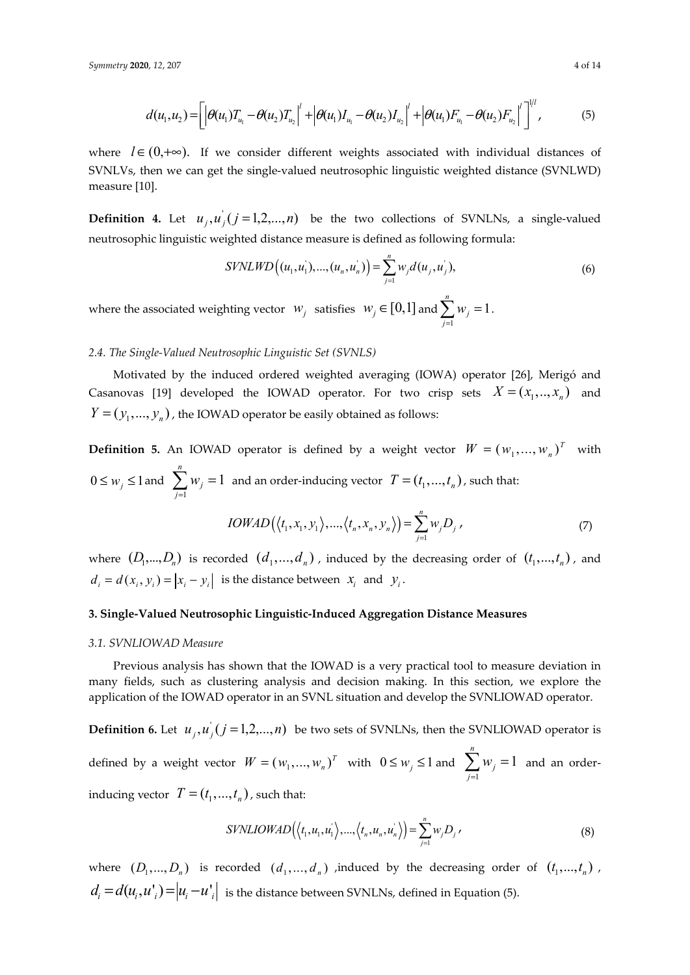$$
d(u_1, u_2) = \left[ \left| \theta(u_1) T_{u_1} - \theta(u_2) T_{u_2} \right|^l + \left| \theta(u_1) I_{u_1} - \theta(u_2) I_{u_2} \right|^l + \left| \theta(u_1) F_{u_1} - \theta(u_2) F_{u_2} \right|^l \right]^{1/l},
$$
\n(5)

where  $l \in (0,+\infty)$ . If we consider different weights associated with individual distances of SVNLVs, then we can get the single-valued neutrosophic linguistic weighted distance (SVNLWD) measure [10].

**Definition 4.** Let  $u_i, u_j$  ( $j = 1,2,...,n$ ) be the two collections of SVNLNs, a single-valued neutrosophic linguistic weighted distance measure is defined as following formula:

$$
SYNLWD((u_1, u_1), ..., (u_n, u_n)) = \sum_{j=1}^{n} w_j d(u_j, u_j),
$$
\n(6)

where the associated weighting vector  $w_j$  satisfies  $w_j \in [0,1]$  and 1  $\sum_{i=1}^{n} w_i = 1$ *j j w*  $\sum_{j=1}^{\infty} w_j = 1.$ 

# *2.4. The Single-Valued Neutrosophic Linguistic Set (SVNLS)*

Motivated by the induced ordered weighted averaging (IOWA) operator [26], Merigó and Casanovas [19] developed the IOWAD operator. For two crisp sets  $X = (x_1, ..., x_n)$  and  $Y = (y_1, ..., y_n)$ , the IOWAD operator be easily obtained as follows:

**Definition 5.** An IOWAD operator is defined by a weight vector  $W = (w_1, ..., w_n)^T$  with  $0 \leq w_j \leq 1$  and 1 1 *n j j w*  $\sum_{j=1} w_j = 1$  and an order-inducing vector  $T = (t_1, ..., t_n)$ , such that:  $(\langle t_1, x_1, y_1 \rangle, ..., \langle t_n, x_n, y_n \rangle) = \sum_{j=1}^n$  $(x_1, y_1), ..., (t_n, x_n, y_n)$  $=$  $\sum_{n=1}^{n}$  $\sum_{j=1}^{N_n} \sum_{j=1}^{N} V_j D_j$  $IOWAD(\langle t_1, x_1, y_1 \rangle, ..., \langle t_n, x_n, y_n \rangle) = \sum w_i D^i$  $=\sum_{j=1} w_j D_j$ , (7)

where  $(D_1,..., D_n)$  is recorded  $(d_1,..., d_n)$ , induced by the decreasing order of  $(t_1,..., t_n)$ , and  $d_i = d(x_i, y_i) = |x_i - y_i|$  is the distance between  $x_i$  and  $y_i$ .

# **3. Single-Valued Neutrosophic Linguistic-Induced Aggregation Distance Measures**

## *3.1. SVNLIOWAD Measure*

Previous analysis has shown that the IOWAD is a very practical tool to measure deviation in many fields, such as clustering analysis and decision making. In this section, we explore the application of the IOWAD operator in an SVNL situation and develop the SVNLIOWAD operator.

**Definition 6.** Let  $u_i, u_i$   $(j = 1,2,...,n)$  be two sets of SVNLNs, then the SVNLIOWAD operator is defined by a weight vector  $W = (w_1, ..., w_n)^T$  with  $0 \leq w_j \leq 1$  and 1 1 *n j j w*  $\sum_{j=1}^{n} w_j = 1$  and an orderinducing vector  $T = (t_1, ..., t_n)$ , such that:

$$
SVMLOWAD(\langle t_1, u_1, u_1 \rangle, ..., \langle t_n, u_n, u_n \rangle) = \sum_{j=1}^n w_j D_j,
$$
\n(8)

where  $(D_1, ..., D_n)$  is recorded  $(d_1, ..., d_n)$  *i*nduced by the decreasing order of  $(t_1, ..., t_n)$ ,  $d_i = d(u_i, u'_i) = |u_i - u'_i|$  is the distance between SVNLNs, defined in Equation (5).

 $111$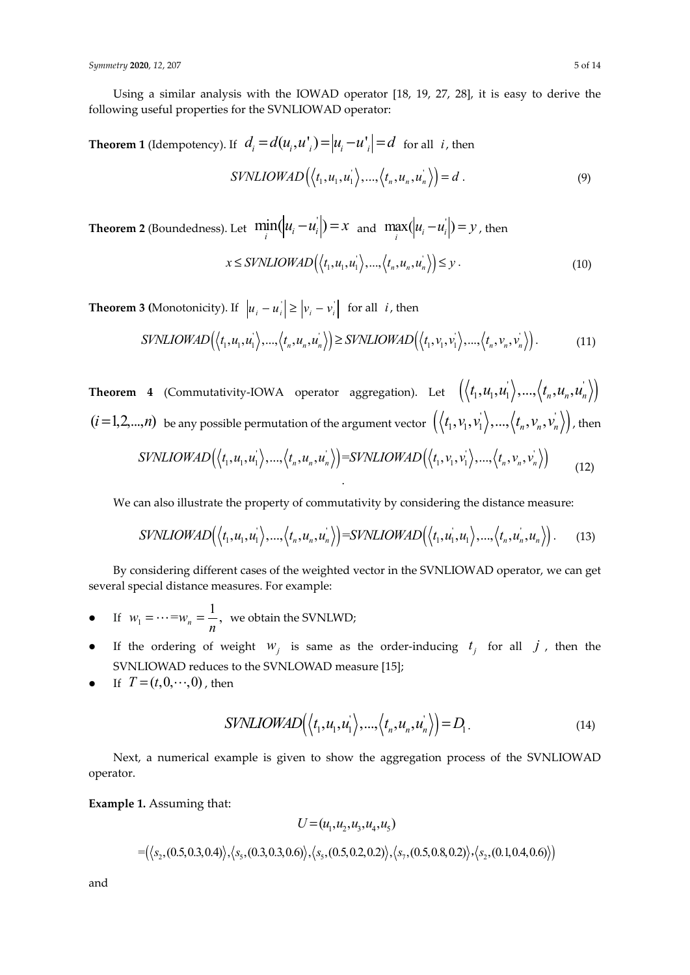Using a similar analysis with the IOWAD operator [18, 19, 27, 28], it is easy to derive the following useful properties for the SVNLIOWAD operator:

**Theorem 1** (Idempotency). If  $d_i = d(u_i, u'_i) = |u_i - u'_i| = d$  for all *i*, then

$$
SVMLIOWAD\left(\langle t_1, u_1, u_1 \rangle, ..., \langle t_n, u_n, u_n \rangle\right) = d.
$$
\n(9)

**Theorem 2** (Boundedness). Let  $\min_i(|u_i - u'_i|) = x$  and  $\max_i(|u_i - u'_i|) = y$ , then

$$
x \leq SYNLIOWAD\left(\langle t_1, u_1, u_1 \rangle, ..., \langle t_n, u_n, u_n \rangle\right) \leq y.
$$
\n(10)

**Theorem 3 (Monotonicity).** If  $|u_i - u_i| \ge |v_i - v_i|$  for all *i*, then

$$
SVINLIOWAD(\langle t_1, u_1, u_1 \rangle, ..., \langle t_n, u_n, u_n \rangle) \geq SYNLIOWAD(\langle t_1, v_1, v_1 \rangle, ..., \langle t_n, v_n, v_n \rangle).
$$
(11)

**Theorem 4** (Commutativity-IOWA operator aggregation). Let  $(\langle t_1, u_1, u_1 \rangle, ..., \langle t_n, u_n, u_n \rangle)$  $(i=1,2,...,n)$  be any possible permutation of the argument vector  $\ (\big\langle t_1,v_1,v_1^{'}\big\rangle,...,\big\langle t_n,v_n,v_n^{'}\big\rangle\big)$  , then  $SVMLIOWAD(\langle t_1, u_1, u_1' \rangle, ..., \langle t_n, u_n, u_n' \rangle) = SVNLIOWAD(\langle t_1, v_1, v_1' \rangle, ..., \langle t_n, v_n, v_n' \rangle)$ .  $(12)$ 

We can also illustrate the property of commutativity by considering the distance measure:

$$
SVNLIOWAD(\langle t_1, u_1, u_1' \rangle, ..., \langle t_n, u_n, u_n' \rangle) = SVNLIOWAD(\langle t_1, u_1', u_1 \rangle, ..., \langle t_n, u_n, u_n' \rangle).
$$
 (13)

By considering different cases of the weighted vector in the SVNLIOWAD operator, we can get several special distance measures. For example:

- $\bullet$  If  $W_1$  $w_1 = \dots = w_n = \frac{1}{n}$ , we obtain the SVNLWD;
- If the ordering of weight  $W_j$  is same as the order-inducing  $t_j$  for all  $j$ , then the SVNLIOWAD reduces to the SVNLOWAD measure [15];
- If  $T = (t, 0, \dots, 0)$ , then

$$
SYNLIOWAD(\langle t_1, u_1, u_1 \rangle, ..., \langle t_n, u_n, u_n \rangle) = D_1.
$$
\n(14)

Next, a numerical example is given to show the aggregation process of the SVNLIOWAD operator.

# **Example 1.** Assuming that:

$$
U = (u_1, u_2, u_3, u_4, u_5)
$$
  
=({ $\langle s_2, (0.5, 0.3, 0.4) \rangle, \langle s_5, (0.3, 0.3, 0.6) \rangle, \langle s_5, (0.5, 0.2, 0.2) \rangle, \langle s_7, (0.5, 0.8, 0.2) \rangle, \langle s_2, (0.1, 0.4, 0.6) \rangle}$ 

and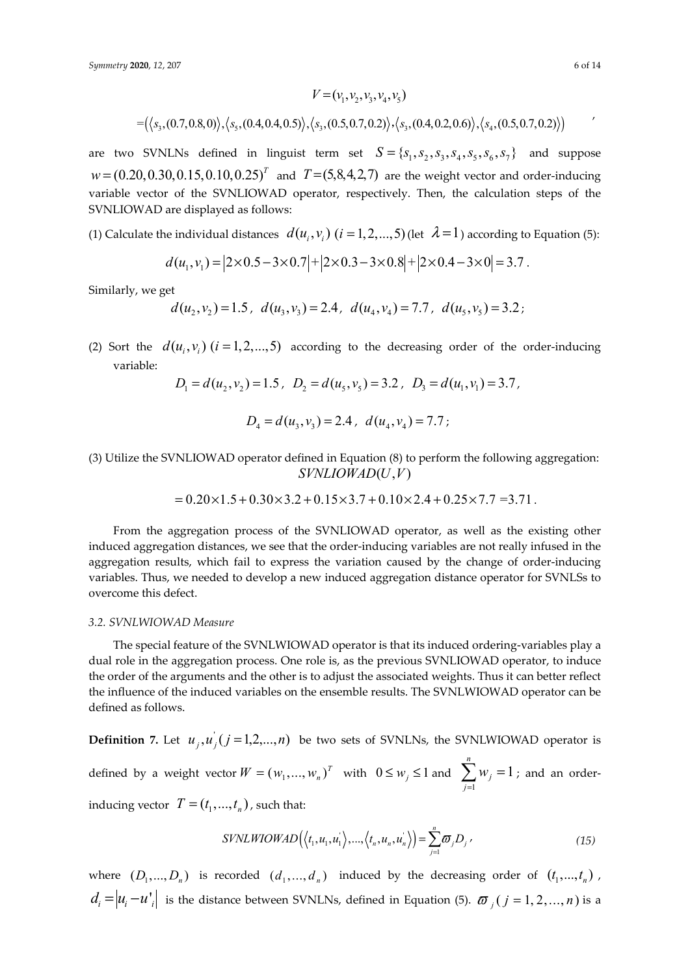$$
V = (v_1, v_2, v_3, v_4, v_5)
$$
  
=  $(\langle s_3, (0.7, 0.8, 0) \rangle, \langle s_5, (0.4, 0.4, 0.5) \rangle, \langle s_3, (0.5, 0.7, 0.2) \rangle, \langle s_3, (0.4, 0.2, 0.6) \rangle, \langle s_4, (0.5, 0.7, 0.2) \rangle)$ 

are two SVNLNs defined in linguist term set  $S = \{S_1, S_2, S_3, S_4, S_5, S_6, S_7\}$  and suppose  $w = (0.20, 0.30, 0.15, 0.10, 0.25)^T$  and  $T = (5, 8, 4, 2, 7)$  are the weight vector and order-inducing variable vector of the SVNLIOWAD operator, respectively. Then, the calculation steps of the SVNLIOWAD are displayed as follows:

(1) Calculate the individual distances  $d(u_i, v_i)$   $(i = 1, 2, ..., 5)$  (let  $\lambda = 1$ ) according to Equation (5):

$$
d(u_1, v_1) = |2 \times 0.5 - 3 \times 0.7| + |2 \times 0.3 - 3 \times 0.8| + |2 \times 0.4 - 3 \times 0| = 3.7.
$$

Similarly, we get

$$
d(u_2, v_2) = 1.5, d(u_3, v_3) = 2.4, d(u_4, v_4) = 7.7, d(u_5, v_5) = 3.2;
$$

(2) Sort the  $d(u_i, v_i)$  ( $i = 1, 2, ..., 5$ ) according to the decreasing order of the order-inducing variable:

$$
D_1 = d(u_2, v_2) = 1.5, \ D_2 = d(u_5, v_5) = 3.2, \ D_3 = d(u_1, v_1) = 3.7,
$$

$$
D_4 = d(u_3, v_3) = 2.4, d(u_4, v_4) = 7.7;
$$

(3) Utilize the SVNLIOWAD operator defined in Equation (8) to perform the following aggregation:  $SVMLIOWAD(U, V)$ 

$$
= 0.20 \times 1.5 + 0.30 \times 3.2 + 0.15 \times 3.7 + 0.10 \times 2.4 + 0.25 \times 7.7 = 3.71.
$$

From the aggregation process of the SVNLIOWAD operator, as well as the existing other induced aggregation distances, we see that the order-inducing variables are not really infused in the aggregation results, which fail to express the variation caused by the change of order-inducing variables. Thus, we needed to develop a new induced aggregation distance operator for SVNLSs to overcome this defect.

## *3.2. SVNLWIOWAD Measure*

The special feature of the SVNLWIOWAD operator is that its induced ordering-variables play a dual role in the aggregation process. One role is, as the previous SVNLIOWAD operator, to induce the order of the arguments and the other is to adjust the associated weights. Thus it can better reflect the influence of the induced variables on the ensemble results. The SVNLWIOWAD operator can be defined as follows.

**Definition 7.** Let  $u_i, u_i$   $(j = 1, 2, ..., n)$  be two sets of SVNLNs, the SVNLWIOWAD operator is defined by a weight vector  $W = (w_1, ..., w_n)^T$  with  $0 \le w_j \le 1$  and 1 1 *n j j w*  $\sum_{j=1} w_j = 1$ ; and an orderinducing vector  $T = (t_1, ..., t_n)$ , such that:

$$
SYNLWIOWAD(\langle t_1, u_1, u_1 \rangle, ..., \langle t_n, u_n, u_n \rangle) = \sum_{j=1}^n \varpi_j D_j \qquad (15)
$$

where  $(D_1, ..., D_n)$  is recorded  $(d_1, ..., d_n)$  induced by the decreasing order of  $(t_1, ..., t_n)$ ,  $d_i = |u_i - u^*|$  is the distance between SVNLNs, defined in Equation (5).  $\sigma_{i,j}$  (  $j = 1, 2, ..., n$  ) is a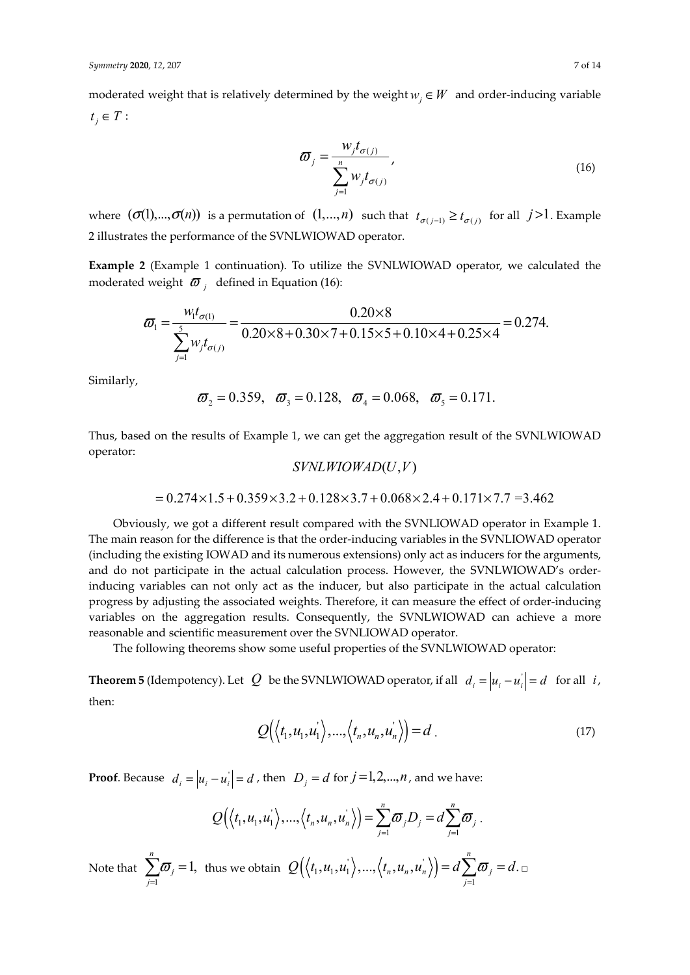moderated weight that is relatively determined by the weight  $w_i \in W$  and order-inducing variable  $t_i \in T$ :

$$
\varpi_{j} = \frac{w_{j}t_{\sigma(j)}}{\sum_{j=1}^{n} w_{j}t_{\sigma(j)}},
$$
\n(16)

where  $(\sigma(1),...,\sigma(n))$  is a permutation of  $(1,...,n)$  such that  $t_{\sigma(i-1)} \geq t_{\sigma(i)}$  for all  $j > 1$ . Example 2 illustrates the performance of the SVNLWIOWAD operator.

**Example 2** (Example 1 continuation). To utilize the SVNLWIOWAD operator, we calculated the moderated weight  $\sigma$ <sup>*j*</sup> defined in Equation (16):

$$
\varpi_{1} = \frac{w_{1}t_{\sigma(1)}}{\sum_{j=1}^{5} w_{j}t_{\sigma(j)}} = \frac{0.20 \times 8}{0.20 \times 8 + 0.30 \times 7 + 0.15 \times 5 + 0.10 \times 4 + 0.25 \times 4} = 0.274.
$$

Similarly,

$$
\bar{\omega}_2 = 0.359
$$
,  $\bar{\omega}_3 = 0.128$ ,  $\bar{\omega}_4 = 0.068$ ,  $\bar{\omega}_5 = 0.171$ .

Thus, based on the results of Example 1, we can get the aggregation result of the SVNLWIOWAD operator:

$$
SVMLW IOWAD(U,V)
$$

$$
= 0.274 \times 1.5 + 0.359 \times 3.2 + 0.128 \times 3.7 + 0.068 \times 2.4 + 0.171 \times 7.7 = 3.462
$$

Obviously, we got a different result compared with the SVNLIOWAD operator in Example 1. The main reason for the difference is that the order-inducing variables in the SVNLIOWAD operator (including the existing IOWAD and its numerous extensions) only act as inducers for the arguments, and do not participate in the actual calculation process. However, the SVNLWIOWAD's orderinducing variables can not only act as the inducer, but also participate in the actual calculation progress by adjusting the associated weights. Therefore, it can measure the effect of order-inducing variables on the aggregation results. Consequently, the SVNLWIOWAD can achieve a more reasonable and scientific measurement over the SVNLIOWAD operator.

The following theorems show some useful properties of the SVNLWIOWAD operator:

**Theorem 5** (Idempotency). Let  $Q$  be the SVNLWIOWAD operator, if all  $d_i = |u_i - u_i| = d$  for all *i*, then:

$$
Q(\langle t_1, u_1, u_1 \rangle, \ldots, \langle t_n, u_n, u_n \rangle) = d.
$$
 (17)

**Proof**. Because  $d_i = |u_i - u_i| = d$ , then  $D_j = d$  for  $j = 1, 2, ..., n$ , and we have:

$$
Q(\langle t_1,u_1,u_1\rangle,...,\langle t_n,u_n,u_n\rangle)=\sum_{j=1}^n\boldsymbol{\varpi}_jD_j=d\sum_{j=1}^n\boldsymbol{\varpi}_j.
$$

Note that 1 1, *n j j*  $\varpi$  $\sum_{j=1}$   $\varpi_j = 1$ , thus we obtain  $\mathcal{Q}(\langle t_1, u_1, u_1 \rangle, ..., \langle t_n, u_n, u_n \rangle)$ 1  $, u_1, u_1 \rangle, ..., \langle t_n, u_n, u_n \rangle) = d \sum \varpi_i = d.$ *n*  $\mu_n$ ,  $\mu_n$ <sub>/</sub> $\mu_n$ <sub>/</sub> $\mu_n$ <sub> $\omega$ <sub>*j*</sub></sub> *j*  $Q(\langle t_1, u_1, u_1 \rangle, ..., \langle t_n, u_n, u_n \rangle) = d \sum \varpi_i = d$  $= d \sum_{j=1}$   $\varpi_{j} = d$  .  $\Box$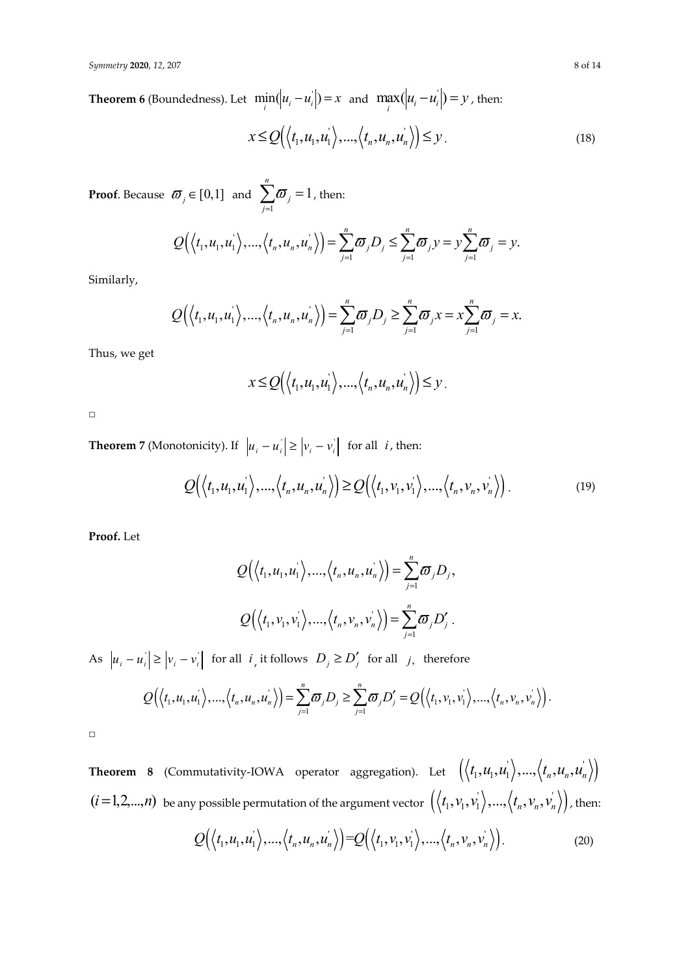**Theorem 6** (Boundedness). Let  $\min_i(|u_i - u_i|) = x$  and  $\max_i(|u_i - u_i|) = y$ , then:

$$
x \le Q\left(\langle t_1, u_1, u_1 \rangle, \ldots, \langle t_n, u_n, u_n \rangle\right) \le y.
$$
\n(18)

**Proof**. Because  $\boldsymbol{\varpi}_j \in [0,1]$  and 1 1 *n j j*  $\varpi$  $\sum_{j=1}$   $\sigma_j = 1$  , then:

$$
Q\Big(\Big\langle t_1,u_1,u_1\Big\rangle,\dots,\Big\langle t_n,u_n,u_n\Big\rangle\Big)=\sum_{j=1}^n\boldsymbol{\overline{\omega}}_jD_j\leq \sum_{j=1}^n\boldsymbol{\overline{\omega}}_jy=y\sum_{j=1}^n\boldsymbol{\overline{\omega}}_j=y.
$$

Similarly,

$$
Q(\langle t_1, u_1, u_1 \rangle, ..., \langle t_n, u_n, u_n \rangle) = \sum_{j=1}^n \varpi_j D_j \ge \sum_{j=1}^n \varpi_j x = x \sum_{j=1}^n \varpi_j = x.
$$

Thus, we get

$$
x \le Q\Big(\Big\langle t_1, u_1, u_1 \Big\rangle, \dots, \Big\langle t_n, u_n, u_n \Big\rangle\Big) \le y.
$$

□

**Theorem 7** (Monotonicity). If  $|u_i - u_i| \ge |v_i - v_i|$  for all *i*, then:

$$
Q(\langle t_1, u_1, u_1 \rangle, ..., \langle t_n, u_n, u_n \rangle) \ge Q(\langle t_1, v_1, v_1 \rangle, ..., \langle t_n, v_n, v_n \rangle).
$$
\n(19)

**Proof.** Let

$$
Q(\langle t_1, u_1, u_1 \rangle, ..., \langle t_n, u_n, u_n \rangle) = \sum_{j=1}^n \varpi_j D_j,
$$
  

$$
Q(\langle t_1, v_1, v_1 \rangle, ..., \langle t_n, v_n, v_n \rangle) = \sum_{j=1}^n \varpi_j D'_j.
$$

As  $|u_i - u_i| \ge |v_i - v_i|$  for all *i*, it follows  $D_j \ge D'_j$  for all *j*, therefore

$$
Q(\langle t_1,u_1,u_1\rangle,...,\langle t_n,u_n,u_n\rangle)=\sum_{j=1}^n\sigma_jD_j\geq \sum_{j=1}^n\sigma_jD'_j=Q(\langle t_1,v_1,v_1\rangle,...,\langle t_n,v_n,v_n\rangle).
$$

□

**Theorem 8** (Commutativity-IOWA operator aggregation). Let  $(\langle t_1, u_1, u_1 \rangle, ..., \langle t_n, u_n, u_n \rangle)$  $(i=1,2,...,n)$  be any possible permutation of the argument vector  $\ (\big\langle t_1,v_1,v_1^{'}\big\rangle,...,\big\langle t_n,v_n,v_n^{'}\big\rangle \big)$  , then:

$$
Q(\langle t_1, u_1, u_1 \rangle, ..., \langle t_n, u_n, u_n \rangle) = Q(\langle t_1, v_1, v_1 \rangle, ..., \langle t_n, v_n, v_n \rangle).
$$
\n(20)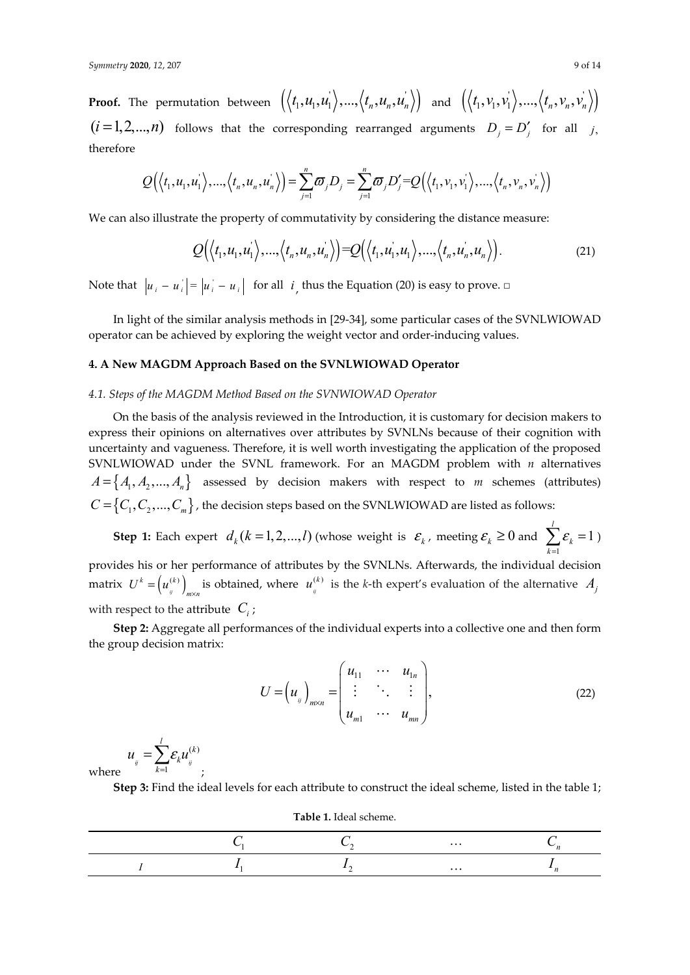**Proof.** The permutation between  $\left(\langle t_1, u_1, u_1'\rangle,...,\langle t_n, u_n, u_n'\rangle\right)$  and  $\left(\langle t_1, v_1, v_1'\rangle,...,\langle t_n, v_n, v_n'\rangle\right)$  $(i = 1, 2, \ldots, n)$  follows that the corresponding rearranged arguments  $D_i = D'_i$  for all *j*, therefore

$$
Q(\langle t_1, u_1, u_1 \rangle, \ldots, \langle t_n, u_n, u_n \rangle) = \sum_{j=1}^n \sigma_j D_j = \sum_{j=1}^n \sigma_j D_j' = Q(\langle t_1, v_1, v_1 \rangle, \ldots, \langle t_n, v_n, v_n \rangle)
$$

We can also illustrate the property of commutativity by considering the distance measure:

$$
Q(\langle t_1, u_1, u_1 \rangle, \ldots, \langle t_n, u_n, u_n \rangle) = Q(\langle t_1, u_1, u_1 \rangle, \ldots, \langle t_n, u_n, u_n \rangle).
$$
 (21)

Note that  $|u_i - u_i| = |u_i - u_i|$  for all *i*, thus the Equation (20) is easy to prove. □

In light of the similar analysis methods in [29-34], some particular cases of the SVNLWIOWAD operator can be achieved by exploring the weight vector and order-inducing values.

## **4. A New MAGDM Approach Based on the SVNLWIOWAD Operator**

## *4.1. Steps of the MAGDM Method Based on the SVNWIOWAD Operator*

On the basis of the analysis reviewed in the Introduction, it is customary for decision makers to express their opinions on alternatives over attributes by SVNLNs because of their cognition with uncertainty and vagueness. Therefore, it is well worth investigating the application of the proposed SVNLWIOWAD under the SVNL framework. For an MAGDM problem with *n* alternatives  $A = \{A_1, A_2, ..., A_n\}$  assessed by decision makers with respect to *m* schemes (attributes)  $C = \{C_1, C_2, ..., C_m\}$ , the decision steps based on the SVNLWIOWAD are listed as follows:

**Step 1:** Each expert  $d_k (k = 1, 2, ..., l)$  *(whose weight is*  $\mathcal{E}_k$ , meeting  $\mathcal{E}_k \ge 0$  and 1 1 *k k* ε  $\sum_{k=1}$   $\varepsilon_k = 1$ ) provides his or her performance of attributes by the SVNLNs. Afterwards, the individual decision matrix  $\; U^{k} = \left( u^{(k)}_{_{ij}} \right) \;$  $k = \int_{\mathbb{R}^n} (k)$  $U^k = (u_j^{(k)})$ <sub>*m*×*n*</sub> is obtained, where  $u_j^{(k)}$  $u_{ij}^{(k)}$  is the *k*-th expert's evaluation of the alternative  $A_j$ with respect to the attribute  $C_i$ ;

**Step 2:** Aggregate all performances of the individual experts into a collective one and then form the group decision matrix:

$$
U = \left(u_{ij}\right)_{m \times n} = \begin{pmatrix} u_{11} & \cdots & u_{1n} \\ \vdots & \ddots & \vdots \\ u_{m1} & \cdots & u_{mn} \end{pmatrix},
$$
 (22)

$$
u_{ij} = \sum_{k=1}^{l} \varepsilon_k u_{ij}^{(k)}
$$
 where

;

**Step 3:** Find the ideal levels for each attribute to construct the ideal scheme, listed in the table 1;

**Table 1.** Ideal scheme.

|  | $\cdots$ |  |
|--|----------|--|
|  | $\cdots$ |  |

*l*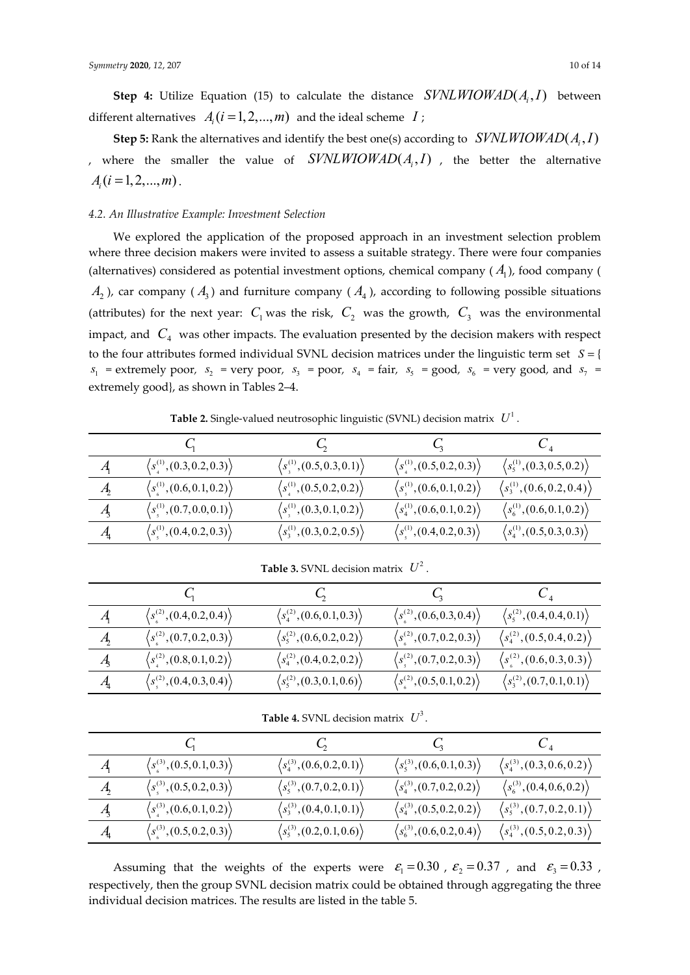**Step 5:** Rank the alternatives and identify the best one(s) according to  $SVMLW IOWAD(A, I)$ , where the smaller the value of  $SVMLW IOMAD(A, I)$ , the better the alternative  $A_i$   $(i = 1, 2, ..., m)$ .

## *4.2. An Illustrative Example: Investment Selection*

We explored the application of the proposed approach in an investment selection problem where three decision makers were invited to assess a suitable strategy. There were four companies (alternatives) considered as potential investment options, chemical company  $(A_1)$ , food company (  $A_2$ ), car company ( $A_3$ ) and furniture company ( $A_4$ ), according to following possible situations (attributes) for the next year:  $C_1$  was the risk,  $C_2$  was the growth,  $C_3$  was the environmental impact, and  $C_4$  was other impacts. The evaluation presented by the decision makers with respect to the four attributes formed individual SVNL decision matrices under the linguistic term set *S* = {  $s_1$  = extremely poor,  $s_2$  = very poor,  $s_3$  = poor,  $s_4$  = fair,  $s_5$  = good,  $s_6$  = very good, and  $s_7$  = extremely good}, as shown in Tables 2–4.

**Table 2.** Single-valued neutrosophic linguistic (SVNL) decision matrix  $U^1$ .

| $\boldsymbol{A}$             | $\langle s_4^{(1)}, (0.3, 0.2, 0.3) \rangle$                                         | $\langle s_{\tiny \!\!4}^{\tiny (1)},(0.5,0.3,0.1)\rangle$     | $\langle s_4^{(1)}, (0.5, 0.2, 0.3) \rangle$                                           | $\langle s_5^{(1)}, (0.3, 0.5, 0.2) \rangle$ |
|------------------------------|--------------------------------------------------------------------------------------|----------------------------------------------------------------|----------------------------------------------------------------------------------------|----------------------------------------------|
| $\mathcal{A}_{2}$            | $\langle s_{\scriptscriptstyle 6}^{\scriptscriptstyle (1)},(0.6,0.1,0.2)\rangle$     | $\langle s_{\tiny 4}^{(1)}, (0.5, 0.2, 0.2) \rangle$           | $\langle s_{\scriptscriptstyle 5}^{\scriptscriptstyle (1)},(0.6,0.1,0.2)\rangle$       | $\langle s_3^{(1)}, (0.6, 0.2, 0.4) \rangle$ |
| $\mathcal{A}_{3}$            | $\langle s_{\scriptscriptstyle{5}}^{\scriptscriptstyle{(1)}}, (0.7,0.0,0.1) \rangle$ | $\langle s_{\tiny \rm s}^{\tiny \rm (1)},(0.3,0.1,0.2)\rangle$ | $\langle s_4^{(1)}, (0.6, 0.1, 0.2) \rangle$                                           | $\langle s_6^{(1)}, (0.6, 0.1, 0.2) \rangle$ |
| $A_{\!\scriptscriptstyle 4}$ | $\langle s_{\scriptscriptstyle{5}}^{\scriptscriptstyle{(1)}},(0.4,0.2,0.3)\rangle$   | $\left\langle s_3^{(1)},(0.3,0.2,0.5)\right\rangle$            | $\langle s_{\scriptscriptstyle{5}}^{\scriptscriptstyle{(1)}}, (0.4, 0.2, 0.3) \rangle$ | $\langle s_4^{(1)}, (0.5, 0.3, 0.3) \rangle$ |

 $C_1$   $C_2$   $C_3$   $C_4$  $A_1 \qquad \qquad \left\langle s^{(2)}_s, (0.4, 0.2, 0.4) \right\rangle \qquad \qquad \left\langle s^{(2)}_4 \right\rangle$  $s_4^{(2)}$ , (0.6, 0.1, 0.3)<sup>'</sup>  $\langle s^{(2)}_0, (0.6, 0.3, 0.4) \rangle$   $\langle s^{(2)}_5 \rangle$  $s_5^{(2)}$ , (0.4, 0.4, 0.1)<sup>'</sup> *A*  $\langle s_1^{(2)}, (0.7, 0.2, 0.3) \rangle$   $\langle s_5^{(2)} \rangle$  $\langle s_5^{(2)},(0.6,0.2,0.2)\rangle$  $\langle s_1^{(2)}, (0.7, 0.2, 0.3) \rangle$   $\langle s_4^{(2)} \rangle$  $\sqrt{s_4^{(2)}}$ , (0.5, 0.4, 0.2)  $A_3 \longrightarrow \langle s^{(2)}_4, (0.8,0.1,0.2) \rangle \qquad \qquad \langle s^{(2)}_4 \rangle$  $\langle s_4^{(2)}, (0.4, 0.2, 0.2) \rangle$  $\langle s^{(2)}_{\rm s},(0.7,0.2,0.3)\rangle = \langle s^{(2)}_{\rm s} \rangle$  $\sqrt{s^{(2)}_{\perp}$   $(0.6, 0.3, 0.3)$  $A_4 \longrightarrow \left\langle s^{(2)}_{_S},(0.4,0.3,0.4)\right\rangle \qquad \qquad \left\langle s^{(2)}_{_S}\right\rangle$  $\langle s_s^{(2)},(0.3,0.1,0.6) \rangle$  $\langle s_1^{(2)}, (0.5, 0.1, 0.2) \rangle$   $\langle s_3^{(2)} \rangle$  $\langle s_3^{(2)}, (0.7,0.1,0.1) \rangle$ 

**Table 3.** SVNL decision matrix  $U^2$ .

**Table 4.** SVNL decision matrix  $U^3$ .

| $\mathcal{A}_{\mathsf{I}}$ | $\langle s_z^{(3)}, (0.5, 0.1, 0.3) \rangle$                                       | $\langle s_4^{(3)}, (0.6, 0.2, 0.1) \rangle$        | $\langle s_5^{(3)}, (0.6, 0.1, 0.3) \rangle$ | $\langle s_4^{(3)}, (0.3, 0.6, 0.2) \rangle$ |
|----------------------------|------------------------------------------------------------------------------------|-----------------------------------------------------|----------------------------------------------|----------------------------------------------|
| $\mathcal{A}_{2}$          | $\langle s_{\scriptscriptstyle{s}}^{\scriptscriptstyle{(3)}},(0.5,0.2,0.3)\rangle$ | $\langle s_5^{(3)},(0.7,0.2,0.1)\rangle$            | $\langle s_4^{(3)}, (0.7, 0.2, 0.2) \rangle$ | $\langle s_6^{(3)}, (0.4, 0.6, 0.2) \rangle$ |
| $\mathcal{A}_{3}$          | $\langle s_4^{(3)}, (0.6, 0.1, 0.2) \rangle$                                       | $\left\langle s_3^{(3)},(0.4,0.1,0.1)\right\rangle$ | $\langle s_4^{(3)}, (0.5, 0.2, 0.2) \rangle$ | $\langle s_5^{(3)}, (0.7, 0.2, 0.1) \rangle$ |
| $\mathcal{A}_{4}$          | $\langle s_0^{(3)}, (0.5, 0.2, 0.3) \rangle$                                       | $\langle s_5^{(3)},(0.2,0.1,0.6)\rangle$            | $\langle s_6^{(3)}, (0.6, 0.2, 0.4) \rangle$ | $\langle s_4^{(3)}, (0.5, 0.2, 0.3) \rangle$ |

Assuming that the weights of the experts were  $\varepsilon_1 = 0.30$ ,  $\varepsilon_2 = 0.37$ , and  $\varepsilon_3 = 0.33$ , respectively, then the group SVNL decision matrix could be obtained through aggregating the three individual decision matrices. The results are listed in the table 5.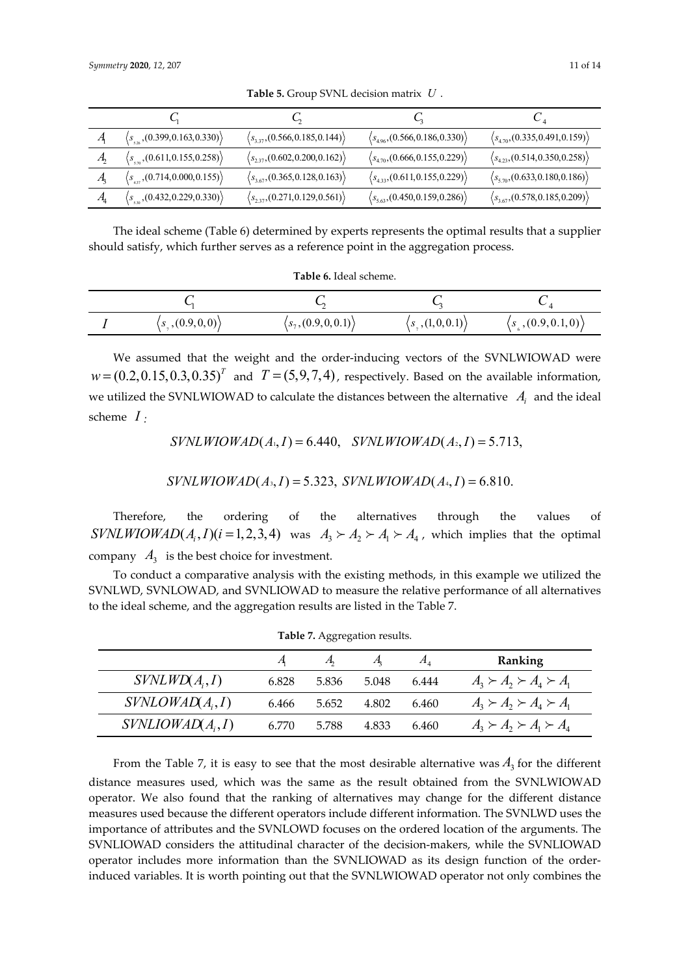|                              | $\langle s_{\rm s,0}(0.399, 0.163, 0.330) \rangle$                | $\langle s_{3,37}, (0.566, 0.185, 0.144) \rangle$ | $\langle s_{4.96}, (0.566, 0.186, 0.330) \rangle$ | $\langle s_{4.70}, (0.335, 0.491, 0.159) \rangle$ |
|------------------------------|-------------------------------------------------------------------|---------------------------------------------------|---------------------------------------------------|---------------------------------------------------|
| $\mathcal{A}$                | $\langle s_{\scriptscriptstyle{570}}$ , (0.611, 0.155, 0.258))    | $\langle s_{2,37}, (0.602, 0.200, 0.162) \rangle$ | $\langle s_{4.70}, (0.666, 0.155, 0.229) \rangle$ | $\langle s_{4,23}, (0.514, 0.350, 0.258) \rangle$ |
| A,                           | $\langle s_{4v}$ , (0.714, 0.000, 0.155)                          | $\langle s_{3.67}, (0.365, 0.128, 0.163) \rangle$ | $\langle s_{4,33}, (0.611, 0.155, 0.229) \rangle$ | $\langle s_{5.70}, (0.633, 0.180, 0.186) \rangle$ |
| $A_{\!\scriptscriptstyle 1}$ | $\langle s_{\scriptscriptstyle{50}}(0.432, 0.229, 0.330) \rangle$ | $\langle s_{2,37}, (0.271, 0.129, 0.561) \rangle$ | $\langle s_{5.63}, (0.450, 0.159, 0.286) \rangle$ | $\langle s_{3.67}, (0.578, 0.185, 0.209) \rangle$ |

**Table 5.** Group SVNL decision matrix *U* .

The ideal scheme (Table 6) determined by experts represents the optimal results that a supplier should satisfy, which further serves as a reference point in the aggregation process.

| Table 6. Ideal scheme. |  |
|------------------------|--|
|------------------------|--|

| $\langle s_1(0.9,0,0)\rangle$ | $\langle s_7, (0.9, 0, 0.1) \rangle$ | $\langle s(1,0,0.1) \rangle$ | $\left(s_{\varepsilon}, (0.9, 0.1, 0)\right)$ |
|-------------------------------|--------------------------------------|------------------------------|-----------------------------------------------|

We assumed that the weight and the order-inducing vectors of the SVNLWIOWAD were  $w = (0.2, 0.15, 0.3, 0.35)^T$  and  $T = (5, 9, 7, 4)$ , respectively. Based on the available information, we utilized the SVNLWIOWAD to calculate the distances between the alternative  $A_i$  and the ideal scheme *I :* 

 $SVMLW IOWAD(A_{1}, I) = 6.440$ ,  $SVMLW IOWAD(A_{2}, I) = 5.713$ ,

$$
SVMLW IOWAD(A_3, I) = 5.323, \, SYNLW IOWAD(A_4, I) = 6.810.
$$

Therefore, the ordering of the alternatives through the values of  $SVMLW IOWAD(A_i, I)(i = 1,2,3,4)$  was  $A_3 \succ A_2 \succ A_1 \succ A_4$ , which implies that the optimal company  $A_3$  is the best choice for investment.

To conduct a comparative analysis with the existing methods, in this example we utilized the SVNLWD, SVNLOWAD, and SVNLIOWAD to measure the relative performance of all alternatives to the ideal scheme, and the aggregation results are listed in the Table 7.

**Table 7. Aggregation results.** 

| <b>Table</b> 7. Aggregation results. |       |       |             |               |                                     |
|--------------------------------------|-------|-------|-------------|---------------|-------------------------------------|
|                                      |       |       | $A_{\rm i}$ | $A_{\Lambda}$ | Ranking                             |
| SVMLWD(A, I)                         | 6.828 | 5.836 | 5.048       | 6.444         | $A_3 \succ A_2 \succ A_4 \succ A_1$ |
| SVMOWAD(A, I)                        | 6.466 | 5.652 | 4.802       | 6.460         | $A_3 \succ A_2 \succ A_4 \succ A_1$ |
| $SVMLOWAD(A_i, I)$                   | 6.770 | 5.788 | 4.833       | 6.460         | $A_3 \succ A_2 \succ A_1 \succ A_4$ |

From the Table 7, it is easy to see that the most desirable alternative was  $A_3$  for the different distance measures used, which was the same as the result obtained from the SVNLWIOWAD operator. We also found that the ranking of alternatives may change for the different distance measures used because the different operators include different information. The SVNLWD uses the importance of attributes and the SVNLOWD focuses on the ordered location of the arguments. The SVNLIOWAD considers the attitudinal character of the decision-makers, while the SVNLIOWAD operator includes more information than the SVNLIOWAD as its design function of the orderinduced variables. It is worth pointing out that the SVNLWIOWAD operator not only combines the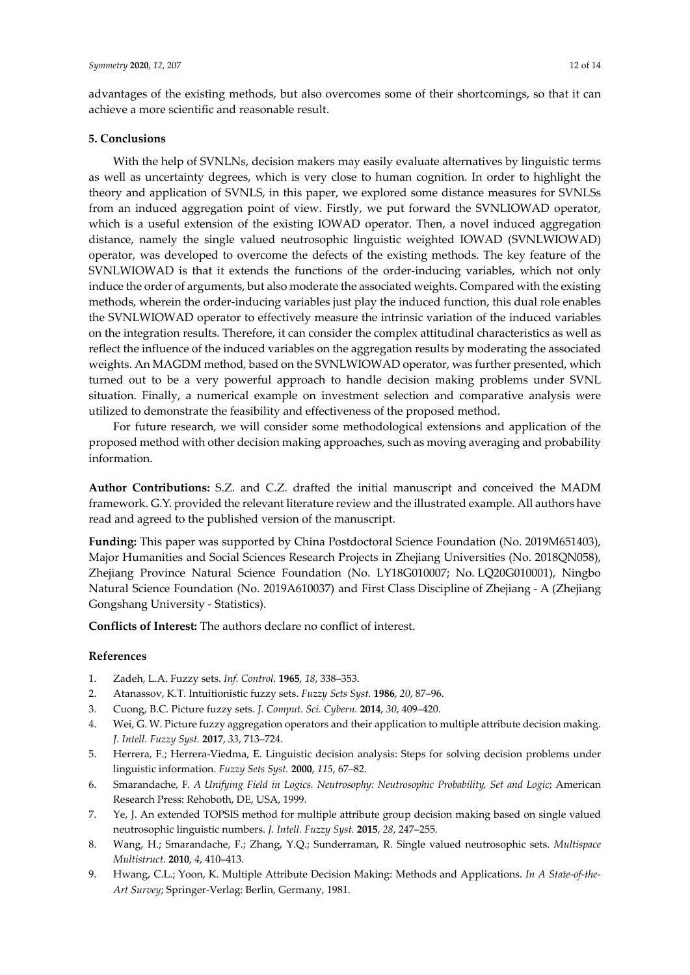advantages of the existing methods, but also overcomes some of their shortcomings, so that it can achieve a more scientific and reasonable result.

## **5. Conclusions**

With the help of SVNLNs, decision makers may easily evaluate alternatives by linguistic terms as well as uncertainty degrees, which is very close to human cognition. In order to highlight the theory and application of SVNLS, in this paper, we explored some distance measures for SVNLSs from an induced aggregation point of view. Firstly, we put forward the SVNLIOWAD operator, which is a useful extension of the existing IOWAD operator. Then, a novel induced aggregation distance, namely the single valued neutrosophic linguistic weighted IOWAD (SVNLWIOWAD) operator, was developed to overcome the defects of the existing methods. The key feature of the SVNLWIOWAD is that it extends the functions of the order-inducing variables, which not only induce the order of arguments, but also moderate the associated weights. Compared with the existing methods, wherein the order-inducing variables just play the induced function, this dual role enables the SVNLWIOWAD operator to effectively measure the intrinsic variation of the induced variables on the integration results. Therefore, it can consider the complex attitudinal characteristics as well as reflect the influence of the induced variables on the aggregation results by moderating the associated weights. An MAGDM method, based on the SVNLWIOWAD operator, was further presented, which turned out to be a very powerful approach to handle decision making problems under SVNL situation. Finally, a numerical example on investment selection and comparative analysis were utilized to demonstrate the feasibility and effectiveness of the proposed method.

For future research, we will consider some methodological extensions and application of the proposed method with other decision making approaches, such as moving averaging and probability information.

**Author Contributions:** S.Z. and C.Z. drafted the initial manuscript and conceived the MADM framework. G.Y. provided the relevant literature review and the illustrated example. All authors have read and agreed to the published version of the manuscript.

**Funding:** This paper was supported by China Postdoctoral Science Foundation (No. 2019M651403), Major Humanities and Social Sciences Research Projects in Zhejiang Universities (No. 2018QN058), Zhejiang Province Natural Science Foundation (No. LY18G010007; No. LQ20G010001), Ningbo Natural Science Foundation (No. 2019A610037) and First Class Discipline of Zhejiang - A (Zhejiang Gongshang University - Statistics).

**Conflicts of Interest:** The authors declare no conflict of interest.

## **References**

- 1. Zadeh, L.A. Fuzzy sets. *Inf. Control.* **1965**, *18*, 338–353.
- 2. Atanassov, K.T. Intuitionistic fuzzy sets. *Fuzzy Sets Syst.* **1986**, *20*, 87–96.
- 3. Cuong, B.C. Picture fuzzy sets. *J. Comput. Sci. Cybern.* **2014**, *30*, 409–420.
- 4. Wei, G. W. Picture fuzzy aggregation operators and their application to multiple attribute decision making. *J. Intell. Fuzzy Syst.* **2017**, *33*, 713–724.
- 5. Herrera, F.; Herrera-Viedma, E. Linguistic decision analysis: Steps for solving decision problems under linguistic information. *Fuzzy Sets Syst.* **2000**, *115*, 67–82.
- 6. Smarandache, F. *A Unifying Field in Logics. Neutrosophy: Neutrosophic Probability, Set and Logic*; American Research Press: Rehoboth, DE, USA, 1999.
- 7. Ye, J. An extended TOPSIS method for multiple attribute group decision making based on single valued neutrosophic linguistic numbers. *J. Intell. Fuzzy Syst.* **2015**, *28*, 247–255.
- 8. Wang, H.; Smarandache, F.; Zhang, Y.Q.; Sunderraman, R. Single valued neutrosophic sets. *Multispace Multistruct.* **2010**, *4*, 410–413.
- 9. Hwang, C.L.; Yoon, K. Multiple Attribute Decision Making: Methods and Applications. *In A State-of-the-Art Survey*; Springer-Verlag: Berlin, Germany, 1981.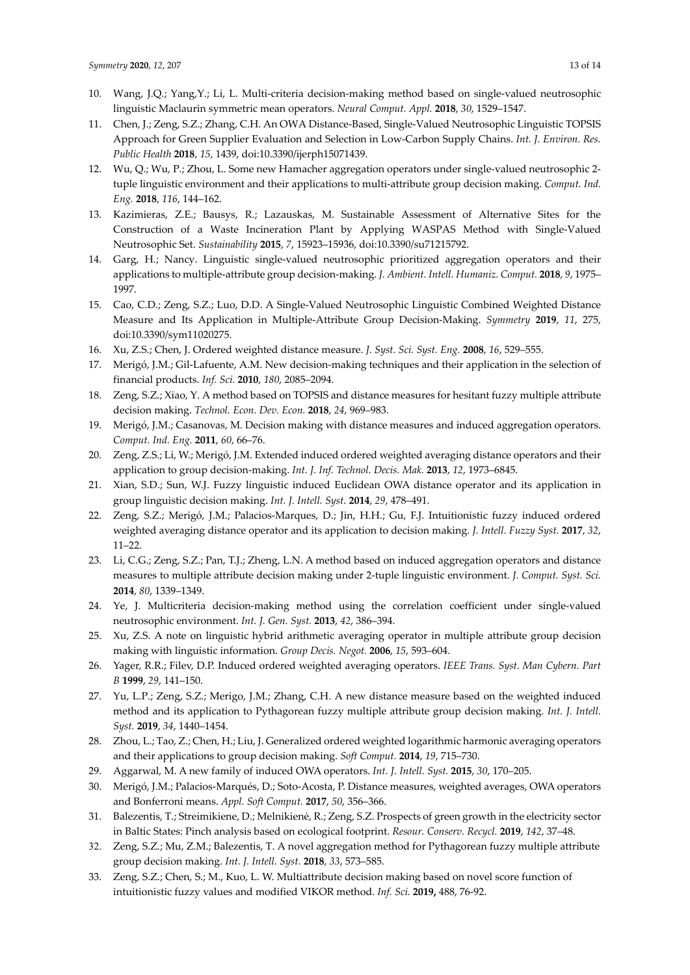- 10. Wang, J.Q.; Yang,Y.; Li, L. Multi-criteria decision-making method based on single-valued neutrosophic linguistic Maclaurin symmetric mean operators. *Neural Comput. Appl.* **2018**, *30*, 1529–1547.
- 11. Chen, J.; Zeng, S.Z.; Zhang, C.H. An OWA Distance-Based, Single-Valued Neutrosophic Linguistic TOPSIS Approach for Green Supplier Evaluation and Selection in Low-Carbon Supply Chains. *Int. J. Environ. Res. Public Health* **2018**, *15*, 1439, doi:10.3390/ijerph15071439.
- 12. Wu, Q.; Wu, P.; Zhou, L. Some new Hamacher aggregation operators under single-valued neutrosophic 2 tuple linguistic environment and their applications to multi-attribute group decision making. *Comput. Ind. Eng.* **2018**, *116*, 144–162.
- 13. Kazimieras, Z.E.; Bausys, R.; Lazauskas, M. Sustainable Assessment of Alternative Sites for the Construction of a Waste Incineration Plant by Applying WASPAS Method with Single-Valued Neutrosophic Set. *Sustainability* **2015**, *7*, 15923–15936, doi:10.3390/su71215792.
- 14. Garg, H.; Nancy. Linguistic single-valued neutrosophic prioritized aggregation operators and their applications to multiple-attribute group decision-making. *J. Ambient. Intell. Humaniz. Comput.* **2018**, *9*, 1975– 1997.
- 15. Cao, C.D.; Zeng, S.Z.; Luo, D.D. A Single-Valued Neutrosophic Linguistic Combined Weighted Distance Measure and Its Application in Multiple-Attribute Group Decision-Making. *Symmetry* **2019**, *11*, 275, doi:10.3390/sym11020275.
- 16. Xu, Z.S.; Chen, J. Ordered weighted distance measure. *J. Syst. Sci. Syst. Eng.* **2008**, *16*, 529–555.
- 17. Merigó, J.M.; Gil-Lafuente, A.M. New decision-making techniques and their application in the selection of financial products. *Inf. Sci.* **2010**, *180*, 2085–2094.
- 18. Zeng, S.Z.; Xiao, Y. A method based on TOPSIS and distance measures for hesitant fuzzy multiple attribute decision making. *Technol. Econ. Dev. Econ.* **2018**, *24*, 969–983.
- 19. Merigó, J.M.; Casanovas, M. Decision making with distance measures and induced aggregation operators. *Comput. Ind. Eng.* **2011**, *60*, 66–76.
- 20. Zeng, Z.S.; Li, W.; Merigó, J.M. Extended induced ordered weighted averaging distance operators and their application to group decision-making. *Int. J. Inf. Technol. Decis. Mak.* **2013**, *12*, 1973–6845.
- 21. Xian, S.D.; Sun, W.J. Fuzzy linguistic induced Euclidean OWA distance operator and its application in group linguistic decision making. *Int. J. Intell. Syst*. **2014**, *29*, 478–491.
- 22. Zeng, S.Z.; Merigó, J.M.; Palacios-Marques, D.; Jin, H.H.; Gu, F.J. Intuitionistic fuzzy induced ordered weighted averaging distance operator and its application to decision making. *J. Intell. Fuzzy Syst.* **2017**, *32*, 11–22.
- 23. Li, C.G.; Zeng, S.Z.; Pan, T.J.; Zheng, L.N. A method based on induced aggregation operators and distance measures to multiple attribute decision making under 2-tuple linguistic environment. *J. Comput. Syst. Sci.*  **2014**, *80*, 1339–1349.
- 24. Ye, J. Multicriteria decision-making method using the correlation coefficient under single-valued neutrosophic environment. *Int. J. Gen. Syst.* **2013**, *42*, 386–394.
- 25. Xu, Z.S. A note on linguistic hybrid arithmetic averaging operator in multiple attribute group decision making with linguistic information. *Group Decis. Negot.* **2006**, *15*, 593–604.
- 26. Yager, R.R.; Filev, D.P. Induced ordered weighted averaging operators. *IEEE Trans. Syst. Man Cybern. Part B* **1999**, *29*, 141–150.
- 27. Yu, L.P.; Zeng, S.Z.; Merigo, J.M.; Zhang, C.H. A new distance measure based on the weighted induced method and its application to Pythagorean fuzzy multiple attribute group decision making. *Int. J. Intell. Syst.* **2019**, *34*, 1440–1454.
- 28. Zhou, L.; Tao, Z.; Chen, H.; Liu, J. Generalized ordered weighted logarithmic harmonic averaging operators and their applications to group decision making. *Soft Comput.* **2014**, *19*, 715–730.
- 29. Aggarwal, M. A new family of induced OWA operators. *Int. J. Intell. Syst.* **2015**, *30*, 170–205.
- 30. Merigó, J.M.; Palacios-Marqués, D.; Soto-Acosta, P. Distance measures, weighted averages, OWA operators and Bonferroni means. *Appl. Soft Comput.* **2017**, *50*, 356–366.
- 31. Balezentis, T.; Streimikiene, D.; Melnikienė, R.; Zeng, S.Z. Prospects of green growth in the electricity sector in Baltic States: Pinch analysis based on ecological footprint. *Resour. Conserv. Recycl.* **2019**, *142*, 37–48.
- 32. Zeng, S.Z.; Mu, Z.M.; Balezentis, T. A novel aggregation method for Pythagorean fuzzy multiple attribute group decision making. *Int. J. Intell. Syst.* **2018**, *33*, 573–585.
- 33. Zeng, S.Z.; Chen, S.; M., Kuo, L. W. Multiattribute decision making based on novel score function of intuitionistic fuzzy values and modified VIKOR method. *Inf. Sci.* **2019,** 488, 76-92.